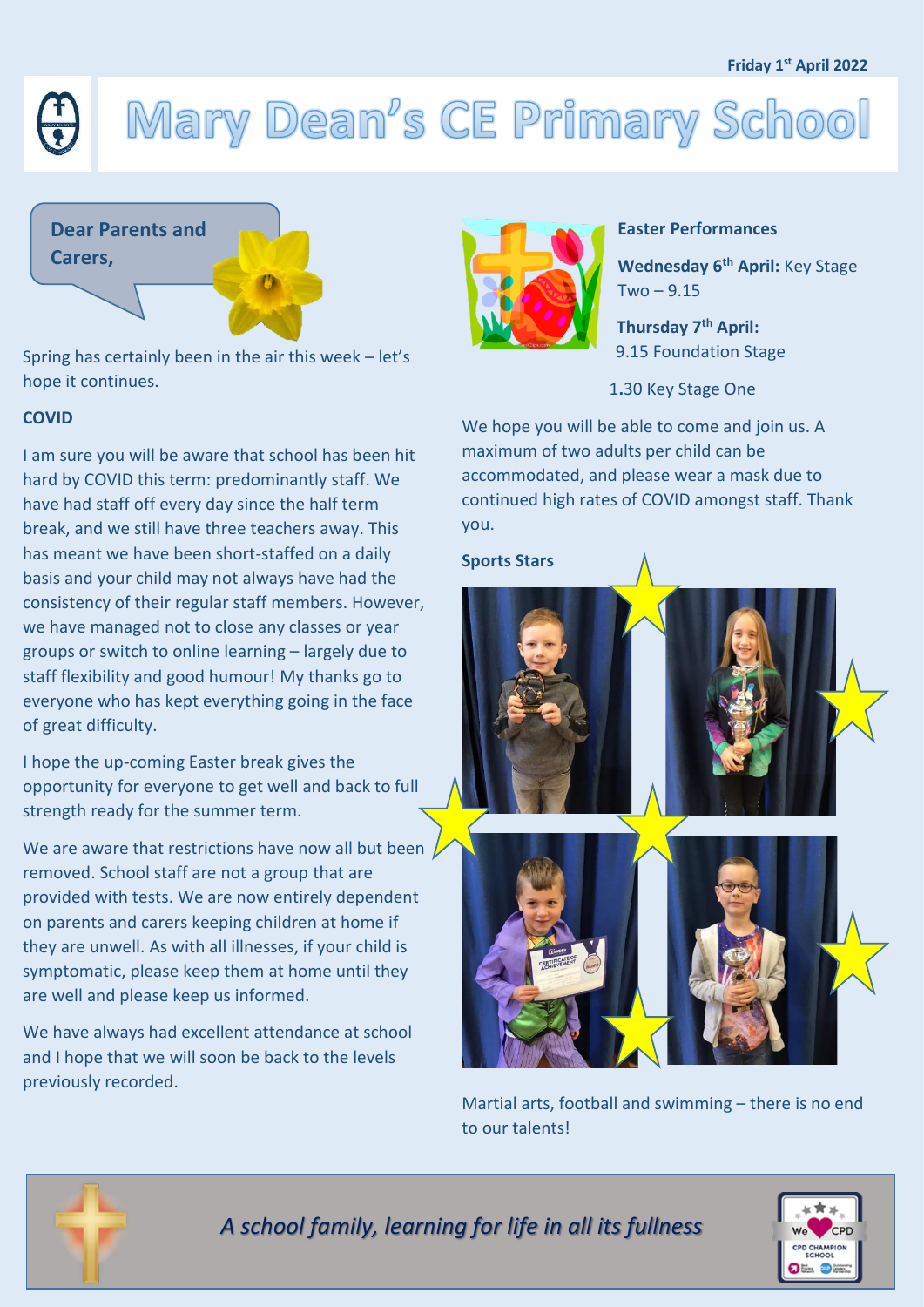## **Friday 1 st April 2022**

# Mary Dean's CE Primary School



Spring has certainly been in the air this week – let's hope it continues.

## **COVID**

I am sure you will be aware that school has been hit hard by COVID this term: predominantly staff. We have had staff off every day since the half term break, and we still have three teachers away. This has meant we have been short-staffed on a daily basis and your child may not always have had the consistency of their regular staff members. However, we have managed not to close any classes or year groups or switch to online learning – largely due to staff flexibility and good humour! My thanks go to everyone who has kept everything going in the face of great difficulty.

I hope the up-coming Easter break gives the opportunity for everyone to get well and back to full strength ready for the summer term.

We are aware that restrictions have now all but been removed. School staff are not a group that are provided with tests. We are now entirely dependent on parents and carers keeping children at home if they are unwell. As with all illnesses, if your child is symptomatic, please keep them at home until they are well and please keep us informed.

We have always had excellent attendance at school and I hope that we will soon be back to the levels previously recorded.



## **Easter Performances**

**Wednesday 6th April:** Key Stage  $Two - 9.15$ 

**Thursday 7th April:**  9.15 Foundation Stage

1**.**30 Key Stage One

We hope you will be able to come and join us. A maximum of two adults per child can be accommodated, and please wear a mask due to continued high rates of COVID amongst staff. Thank you.

#### **Sports Stars**



Martial arts, football and swimming – there is no end to our talents!



*A school family, learning for life in all its fullness*